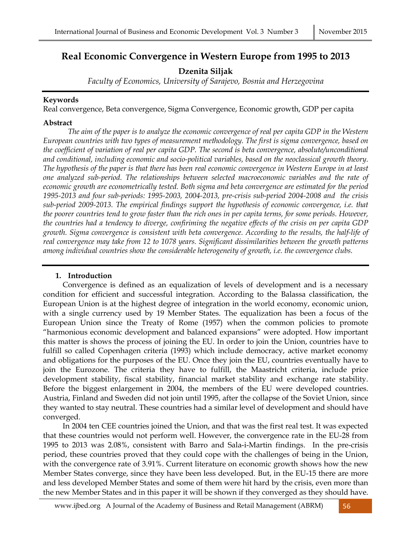# **Real Economic Convergence in Western Europe from 1995 to 2013**

**Dzenita Siljak** 

*Faculty of Economics, University of Sarajevo, Bosnia and Herzegovina* 

## **Keywords**

Real convergence, Beta convergence, Sigma Convergence, Economic growth, GDP per capita

## **Abstract**

 *The aim of the paper is to analyze the economic convergence of real per capita GDP in the Western European countries with two types of measurement methodology. The first is sigma convergence, based on the coefficient of variation of real per capita GDP. The second is beta convergence, absolute/unconditional and conditional, including economic and socio-political variables, based on the neoclassical growth theory. The hypothesis of the paper is that there has been real economic convergence in Western Europe in at least one analyzed sub-period. The relationships between selected macroeconomic variables and the rate of economic growth are econometrically tested. Both sigma and beta convergence are estimated for the period 1995-2013 and four sub-periods: 1995-2003, 2004-2013, pre-crisis sub-period 2004-2008 and the crisis sub-period 2009-2013. The empirical findings support the hypothesis of economic convergence, i.e. that the poorer countries tend to grow faster than the rich ones in per capita terms, for some periods. However, the countries had a tendency to diverge, confiriming the negative effects of the crisis on per capita GDP growth. Sigma convergence is consistent with beta convergence. According to the results, the half-life of real convergence may take from 12 to 1078 years. Significant dissimilarities between the growth patterns among individual countries show the considerable heterogeneity of growth, i.e. the convergence clubs.* 

## **1. Introduction**

Convergence is defined as an equalization of levels of development and is a necessary condition for efficient and successful integration. According to the Balassa classification, the European Union is at the highest degree of integration in the world economy, economic union, with a single currency used by 19 Member States. The equalization has been a focus of the European Union since the Treaty of Rome (1957) when the common policies to promote "harmonious economic development and balanced expansions" were adopted. How important this matter is shows the process of joining the EU. In order to join the Union, countries have to fulfill so called Copenhagen criteria (1993) which include democracy, active market economy and obligations for the purposes of the EU. Once they join the EU, countries eventually have to join the Eurozone. The criteria they have to fulfill, the Maastricht criteria, include price development stability, fiscal stability, financial market stability and exchange rate stability. Before the biggest enlargement in 2004, the members of the EU were developed countries. Austria, Finland and Sweden did not join until 1995, after the collapse of the Soviet Union, since they wanted to stay neutral. These countries had a similar level of development and should have converged.

In 2004 ten CEE countries joined the Union, and that was the first real test. It was expected that these countries would not perform well. However, the convergence rate in the EU-28 from 1995 to 2013 was 2.08%, consistent with Barro and Sala-i-Martin findings. In the pre-crisis period, these countries proved that they could cope with the challenges of being in the Union, with the convergence rate of 3.91%. Current literature on economic growth shows how the new Member States converge, since they have been less developed. But, in the EU-15 there are more and less developed Member States and some of them were hit hard by the crisis, even more than the new Member States and in this paper it will be shown if they converged as they should have.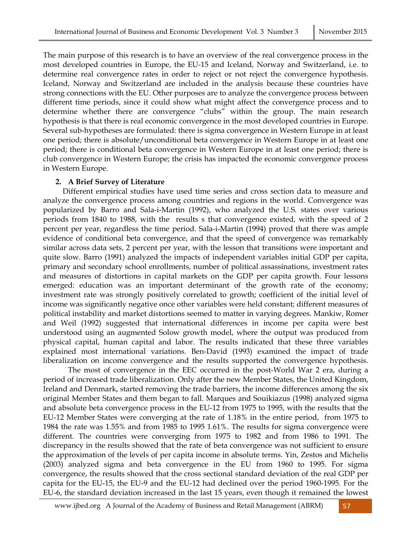The main purpose of this research is to have an overview of the real convergence process in the most developed countries in Europe, the EU-15 and Iceland, Norway and Switzerland, i.e. to determine real convergence rates in order to reject or not reject the convergence hypothesis. Iceland, Norway and Switzerland are included in the analysis because these countries have strong connections with the EU. Other purposes are to analyze the convergence process between different time periods, since it could show what might affect the convergence process and to determine whether there are convergence "clubs" within the group. The main research hypothesis is that there is real economic convergence in the most developed countries in Europe. Several sub-hypotheses are formulated: there is sigma convergence in Western Europe in at least one period; there is absolute/unconditional beta convergence in Western Europe in at least one period; there is conditional beta convergence in Western Europe in at least one period; there is club convergence in Western Europe; the crisis has impacted the economic convergence process in Western Europe.

## **2. A Brief Survey of Literature**

Different empirical studies have used time series and cross section data to measure and analyze the convergence process among countries and regions in the world. Convergence was popularized by Barro and Sala-i-Martin (1992), who analyzed the U.S. states over various periods from 1840 to 1988, with the results s that convergence existed, with the speed of 2 percent per year, regardless the time period. Sala-i-Martin (1994) proved that there was ample evidence of conditional beta convergence, and that the speed of convergence was remarkably similar across data sets, 2 percent per year, with the lesson that transitions were important and quite slow. Barro (1991) analyzed the impacts of independent variables initial GDP per capita, primary and secondary school enrollments, number of political assassinations, investment rates and measures of distortions in capital markets on the GDP per capita growth. Four lessons emerged: education was an important determinant of the growth rate of the economy; investment rate was strongly positively correlated to growth; coefficient of the initial level of income was significantly negative once other variables were held constant; different measures of political instability and market distortions seemed to matter in varying degrees. Mankiw, Romer and Weil (1992) suggested that international differences in income per capita were best understood using an augmented Solow growth model, where the output was produced from physical capital, human capital and labor. The results indicated that these three variables explained most international variations. Ben-David (1993) examined the impact of trade liberalization on income convergence and the results supported the convergence hypothesis.

 The most of convergence in the EEC occurred in the post-World War 2 era, during a period of increased trade liberalization. Only after the new Member States, the United Kingdom, Ireland and Denmark, started removing the trade barriers, the income differences among the six original Member States and them began to fall. Marques and Souikiazus (1998) analyzed sigma and absolute beta convergence process in the EU-12 from 1975 to 1995, with the results that the EU-12 Member States were converging at the rate of 1.18% in the entire period, from 1975 to 1984 the rate was 1.55% and from 1985 to 1995 1.61%. The results for sigma convergence were different. The countries were converging from 1975 to 1982 and from 1986 to 1991. The discrepancy in the results showed that the rate of beta convergence was not sufficient to ensure the approximation of the levels of per capita income in absolute terms. Yin, Zestos and Michelis (2003) analyzed sigma and beta convergence in the EU from 1960 to 1995. For sigma convergence, the results showed that the cross sectional standard deviation of the real GDP per capita for the EU-15, the EU-9 and the EU-12 had declined over the period 1960-1995. For the EU-6, the standard deviation increased in the last 15 years, even though it remained the lowest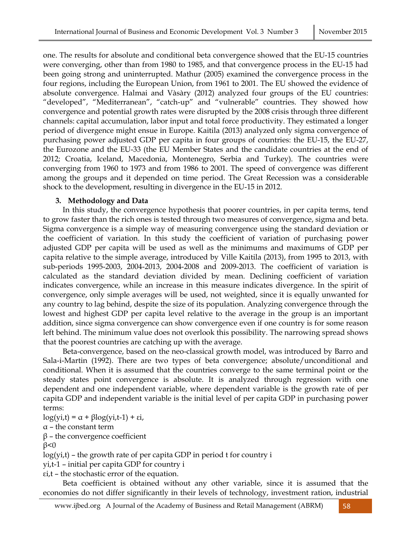one. The results for absolute and conditional beta convergence showed that the EU-15 countries were converging, other than from 1980 to 1985, and that convergence process in the EU-15 had been going strong and uninterrupted. Mathur (2005) examined the convergence process in the four regions, including the European Union, from 1961 to 2001. The EU showed the evidence of absolute convergence. Halmai and Vàsàry (2012) analyzed four groups of the EU countries: "developed", "Mediterranean", "catch-up" and "vulnerable" countries. They showed how convergence and potential growth rates were disrupted by the 2008 crisis through three different channels: capital accumulation, labor input and total force productivity. They estimated a longer period of divergence might ensue in Europe. Kaitila (2013) analyzed only sigma convergence of purchasing power adjusted GDP per capita in four groups of countries: the EU-15, the EU-27, the Eurozone and the EU-33 (the EU Member States and the candidate countries at the end of 2012; Croatia, Iceland, Macedonia, Montenegro, Serbia and Turkey). The countries were converging from 1960 to 1973 and from 1986 to 2001. The speed of convergence was different among the groups and it depended on time period. The Great Recession was a considerable shock to the development, resulting in divergence in the EU-15 in 2012.

## **3. Methodology and Data**

In this study, the convergence hypothesis that poorer countries, in per capita terms, tend to grow faster than the rich ones is tested through two measures of convergence, sigma and beta. Sigma convergence is a simple way of measuring convergence using the standard deviation or the coefficient of variation. In this study the coefficient of variation of purchasing power adjusted GDP per capita will be used as well as the minimums and maximums of GDP per capita relative to the simple average, introduced by Ville Kaitila (2013), from 1995 to 2013, with sub-periods 1995-2003, 2004-2013, 2004-2008 and 2009-2013. The coefficient of variation is calculated as the standard deviation divided by mean. Declining coefficient of variation indicates convergence, while an increase in this measure indicates divergence. In the spirit of convergence, only simple averages will be used, not weighted, since it is equally unwanted for any country to lag behind, despite the size of its population. Analyzing convergence through the lowest and highest GDP per capita level relative to the average in the group is an important addition, since sigma convergence can show convergence even if one country is for some reason left behind. The minimum value does not overlook this possibility. The narrowing spread shows that the poorest countries are catching up with the average.

Beta-convergence, based on the neo-classical growth model, was introduced by Barro and Sala-i-Martin (1992). There are two types of beta convergence; absolute/unconditional and conditional. When it is assumed that the countries converge to the same terminal point or the steady states point convergence is absolute. It is analyzed through regression with one dependent and one independent variable, where dependent variable is the growth rate of per capita GDP and independent variable is the initial level of per capita GDP in purchasing power terms:

log(yi,t) = α + βlog(yi,t-1) + εi,

α – the constant term

 $β$  – the convergence coefficient

 $β < 0$ 

 $log(y_i,t)$  – the growth rate of per capita GDP in period t for country i

yi,t-1 – initial per capita GDP for country i

εi,t – the stochastic error of the equation.

Beta coefficient is obtained without any other variable, since it is assumed that the economies do not differ significantly in their levels of technology, investment ration, industrial

www.ijbed.org A Journal of the Academy of Business and Retail Management (ABRM) 58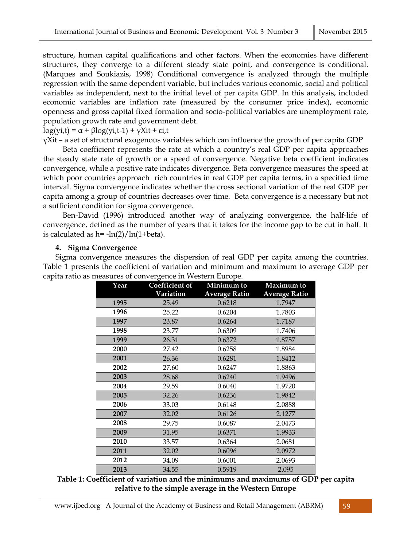structure, human capital qualifications and other factors. When the economies have different structures, they converge to a different steady state point, and convergence is conditional. (Marques and Soukiazis, 1998) Conditional convergence is analyzed through the multiple regression with the same dependent variable, but includes various economic, social and political variables as independent, next to the initial level of per capita GDP. In this analysis, included economic variables are inflation rate (measured by the consumer price index), economic openness and gross capital fixed formation and socio-political variables are unemployment rate, population growth rate and government debt.

log(yi,t) = α + βlog(yi,t-1) + γXit + εi,t

 $\gamma$ Xit – a set of structural exogenous variables which can influence the growth of per capita GDP

Beta coefficient represents the rate at which a country's real GDP per capita approaches the steady state rate of growth or a speed of convergence. Negative beta coefficient indicates convergence, while a positive rate indicates divergence. Beta convergence measures the speed at which poor countries approach rich countries in real GDP per capita terms, in a specified time interval. Sigma convergence indicates whether the cross sectional variation of the real GDP per capita among a group of countries decreases over time. Beta convergence is a necessary but not a sufficient condition for sigma convergence.

Ben-David (1996) introduced another way of analyzing convergence, the half-life of convergence, defined as the number of years that it takes for the income gap to be cut in half. It is calculated as  $h = -\ln(2)/\ln(1+\beta)$ .

## **4. Sigma Convergence**

Sigma convergence measures the dispersion of real GDP per capita among the countries. Table 1 presents the coefficient of variation and minimum and maximum to average GDP per capita ratio as measures of convergence in Western Europe.

| Year | Coefficient of | Minimum to           | Maximum to           |  |  |  |
|------|----------------|----------------------|----------------------|--|--|--|
|      | Variation      | <b>Average Ratio</b> | <b>Average Ratio</b> |  |  |  |
| 1995 | 25.49          | 0.6218               | 1.7947               |  |  |  |
| 1996 | 25.22          | 0.6204               | 1.7803               |  |  |  |
| 1997 | 23.87          | 0.6264               | 1.7187               |  |  |  |
| 1998 | 23.77          | 0.6309               | 1.7406               |  |  |  |
| 1999 | 26.31          | 0.6372               | 1.8757               |  |  |  |
| 2000 | 27.42          | 0.6258               | 1.8984               |  |  |  |
| 2001 | 26.36          | 0.6281               | 1.8412               |  |  |  |
| 2002 | 27.60          | 0.6247               | 1.8863               |  |  |  |
| 2003 | 28.68          | 0.6240               | 1.9496               |  |  |  |
| 2004 | 29.59          | 0.6040               | 1.9720               |  |  |  |
| 2005 | 32.26          | 0.6236               | 1.9842               |  |  |  |
| 2006 | 33.03          | 0.6148               | 2.0888               |  |  |  |
| 2007 | 32.02          | 0.6126               | 2.1277               |  |  |  |
| 2008 | 29.75          | 0.6087               | 2.0473               |  |  |  |
| 2009 | 31.95          | 0.6371               | 1.9933               |  |  |  |
| 2010 | 33.57          | 0.6364               | 2.0681               |  |  |  |
| 2011 | 32.02          | 0.6096               | 2.0972               |  |  |  |
| 2012 | 34.09          | 0.6001               | 2.0693               |  |  |  |
| 2013 | 34.55          | 0.5919               | 2.095                |  |  |  |

**Table 1: Coefficient of variation and the minimums and maximums of GDP per capita relative to the simple average in the Western Europe**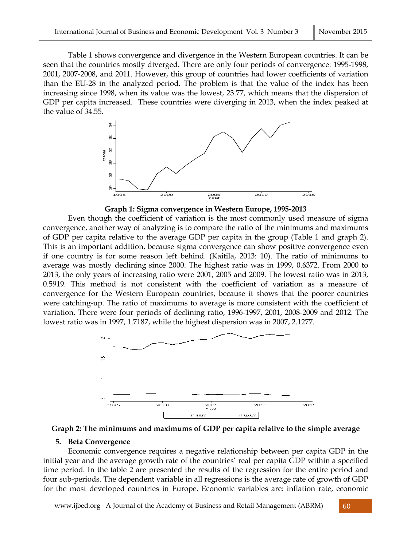Table 1 shows convergence and divergence in the Western European countries. It can be seen that the countries mostly diverged. There are only four periods of convergence: 1995-1998, 2001, 2007-2008, and 2011. However, this group of countries had lower coefficients of variation than the EU-28 in the analyzed period. The problem is that the value of the index has been increasing since 1998, when its value was the lowest, 23.77, which means that the dispersion of GDP per capita increased. These countries were diverging in 2013, when the index peaked at the value of 34.55.



**Graph 1: Sigma convergence in Western Europe, 1995-2013** 

Even though the coefficient of variation is the most commonly used measure of sigma convergence, another way of analyzing is to compare the ratio of the minimums and maximums of GDP per capita relative to the average GDP per capita in the group (Table 1 and graph 2). This is an important addition, because sigma convergence can show positive convergence even if one country is for some reason left behind. (Kaitila, 2013: 10). The ratio of minimums to average was mostly declining since 2000. The highest ratio was in 1999, 0.6372. From 2000 to 2013, the only years of increasing ratio were 2001, 2005 and 2009. The lowest ratio was in 2013, 0.5919. This method is not consistent with the coefficient of variation as a measure of convergence for the Western European countries, because it shows that the poorer countries were catching-up. The ratio of maximums to average is more consistent with the coefficient of variation. There were four periods of declining ratio, 1996-1997, 2001, 2008-2009 and 2012. The lowest ratio was in 1997, 1.7187, while the highest dispersion was in 2007, 2.1277.





## **5. Beta Convergence**

Economic convergence requires a negative relationship between per capita GDP in the initial year and the average growth rate of the countries' real per capita GDP within a specified time period. In the table 2 are presented the results of the regression for the entire period and four sub-periods. The dependent variable in all regressions is the average rate of growth of GDP for the most developed countries in Europe. Economic variables are: inflation rate, economic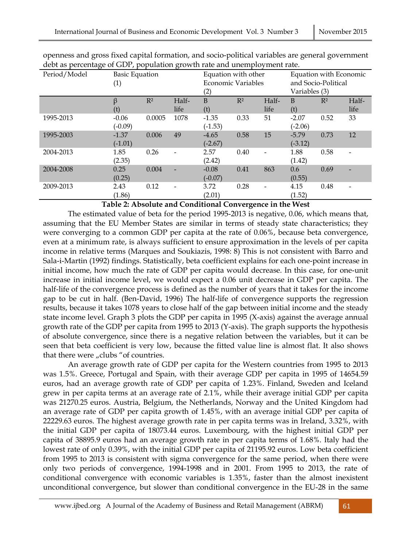| Period/Model | <b>Basic Equation</b> |        |       | Equation with other |       |       | Equation with Economic |       |       |
|--------------|-----------------------|--------|-------|---------------------|-------|-------|------------------------|-------|-------|
|              | $\left( 1\right)$     |        |       | Economic Variables  |       |       | and Socio-Political    |       |       |
|              |                       |        |       | $\left( 2\right)$   |       |       | Variables (3)          |       |       |
|              | β                     | $R^2$  | Half- | B                   | $R^2$ | Half- | B                      | $R^2$ | Half- |
|              | (t)                   |        | life  | (t)                 |       | life  | (t)                    |       | life  |
| 1995-2013    | $-0.06$               | 0.0005 | 1078  | $-1.35$             | 0.33  | 51    | $-2.07$                | 0.52  | 33    |
|              | $(-0.09)$             |        |       | $(-1.53)$           |       |       | $(-2.06)$              |       |       |
| 1995-2003    | $-1.37$               | 0.006  | 49    | $-4.65$             | 0.58  | 15    | $-5.79$                | 0.73  | 12    |
|              | $(-1.01)$             |        |       | $(-2.67)$           |       |       | $(-3.12)$              |       |       |
| 2004-2013    | 1.85                  | 0.26   |       | 2.57                | 0.40  |       | 1.88                   | 0.58  |       |
|              | (2.35)                |        |       | (2.42)              |       |       | (1.42)                 |       |       |
| 2004-2008    | 0.25                  | 0.004  |       | $-0.08$             | 0.41  | 863   | 0.6                    | 0.69  |       |
|              | (0.25)                |        |       | $(-0.07)$           |       |       | (0.55)                 |       |       |
| 2009-2013    | 2.43                  | 0.12   |       | 3.72                | 0.28  |       | 4.15                   | 0.48  |       |
|              | (1.86)                |        |       | (2.01)              |       |       | (1.52)                 |       |       |

openness and gross fixed capital formation, and socio-political variables are general government debt as percentage of GDP, population growth rate and unemployment rate.

**Table 2: Absolute and Conditional Convergence in the West** 

The estimated value of beta for the period 1995-2013 is negative, 0.06, which means that, assuming that the EU Member States are similar in terms of steady state characteristics; they were converging to a common GDP per capita at the rate of 0.06%, because beta convergence, even at a minimum rate, is always sufficient to ensure approximation in the levels of per capita income in relative terms (Marques and Soukiazis, 1998: 8) This is not consistent with Barro and Sala-i-Martin (1992) findings. Statistically, beta coefficient explains for each one-point increase in initial income, how much the rate of GDP per capita would decrease. In this case, for one-unit increase in initial income level, we would expect a 0.06 unit decrease in GDP per capita. The half-life of the convergence process is defined as the number of years that it takes for the income gap to be cut in half. (Ben-David, 1996) The half-life of convergence supports the regression results, because it takes 1078 years to close half of the gap between initial income and the steady state income level. Graph 3 plots the GDP per capita in 1995 (X-axis) against the average annual growth rate of the GDP per capita from 1995 to 2013 (Y-axis). The graph supports the hypothesis of absolute convergence, since there is a negative relation between the variables, but it can be seen that beta coefficient is very low, because the fitted value line is almost flat. It also shows that there were  $n$  clubs " of countries.

An average growth rate of GDP per capita for the Western countries from 1995 to 2013 was 1.5%. Greece, Portugal and Spain, with their average GDP per capita in 1995 of 14654.59 euros, had an average growth rate of GDP per capita of 1.23%. Finland, Sweden and Iceland grew in per capita terms at an average rate of 2.1%, while their average initial GDP per capita was 21270.25 euros. Austria, Belgium, the Netherlands, Norway and the United Kingdom had an average rate of GDP per capita growth of 1.45%, with an average initial GDP per capita of 22229.63 euros. The highest average growth rate in per capita terms was in Ireland, 3.32%, with the initial GDP per capita of 18073.44 euros. Luxembourg, with the highest initial GDP per capita of 38895.9 euros had an average growth rate in per capita terms of 1.68%. Italy had the lowest rate of only 0.39%, with the initial GDP per capita of 21195.92 euros. Low beta coefficient from 1995 to 2013 is consistent with sigma convergence for the same period, when there were only two periods of convergence, 1994-1998 and in 2001. From 1995 to 2013, the rate of conditional convergence with economic variables is 1.35%, faster than the almost inexistent unconditional convergence, but slower than conditional convergence in the EU-28 in the same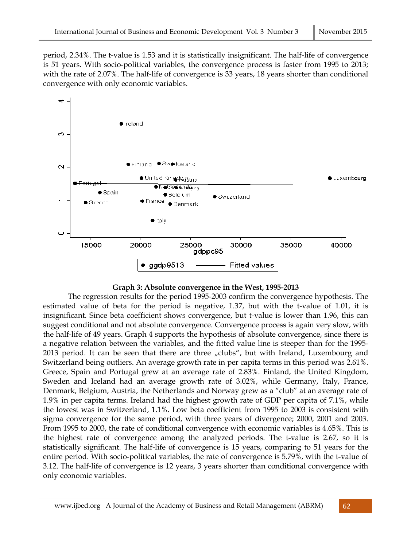period, 2.34%. The t-value is 1.53 and it is statistically insignificant. The half-life of convergence is 51 years. With socio-political variables, the convergence process is faster from 1995 to 2013; with the rate of 2.07%. The half-life of convergence is 33 years, 18 years shorter than conditional convergence with only economic variables.



### **Graph 3: Absolute convergence in the West, 1995-2013**

The regression results for the period 1995-2003 confirm the convergence hypothesis. The estimated value of beta for the period is negative, 1.37, but with the t-value of 1.01, it is insignificant. Since beta coefficient shows convergence, but t-value is lower than 1.96, this can suggest conditional and not absolute convergence. Convergence process is again very slow, with the half-life of 49 years. Graph 4 supports the hypothesis of absolute convergence, since there is a negative relation between the variables, and the fitted value line is steeper than for the 1995- 2013 period. It can be seen that there are three "clubs", but with Ireland, Luxembourg and Switzerland being outliers. An average growth rate in per capita terms in this period was 2.61%. Greece, Spain and Portugal grew at an average rate of 2.83%. Finland, the United Kingdom, Sweden and Iceland had an average growth rate of 3.02%, while Germany, Italy, France, Denmark, Belgium, Austria, the Netherlands and Norway grew as a "club" at an average rate of 1.9% in per capita terms. Ireland had the highest growth rate of GDP per capita of 7.1%, while the lowest was in Switzerland, 1.1%. Low beta coefficient from 1995 to 2003 is consistent with sigma convergence for the same period, with three years of divergence; 2000, 2001 and 2003. From 1995 to 2003, the rate of conditional convergence with economic variables is 4.65%. This is the highest rate of convergence among the analyzed periods. The t-value is 2.67, so it is statistically significant. The half-life of convergence is 15 years, comparing to 51 years for the entire period. With socio-political variables, the rate of convergence is 5.79%, with the t-value of 3.12. The half-life of convergence is 12 years, 3 years shorter than conditional convergence with only economic variables.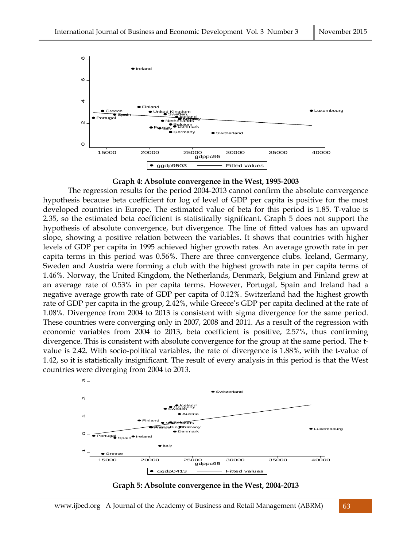

### **Graph 4: Absolute convergence in the West, 1995-2003**

The regression results for the period 2004-2013 cannot confirm the absolute convergence hypothesis because beta coefficient for log of level of GDP per capita is positive for the most developed countries in Europe. The estimated value of beta for this period is 1.85. T-value is 2.35, so the estimated beta coefficient is statistically significant. Graph 5 does not support the hypothesis of absolute convergence, but divergence. The line of fitted values has an upward slope, showing a positive relation between the variables. It shows that countries with higher levels of GDP per capita in 1995 achieved higher growth rates. An average growth rate in per capita terms in this period was 0.56%. There are three convergence clubs. Iceland, Germany, Sweden and Austria were forming a club with the highest growth rate in per capita terms of 1.46%. Norway, the United Kingdom, the Netherlands, Denmark, Belgium and Finland grew at an average rate of 0.53% in per capita terms. However, Portugal, Spain and Ireland had a negative average growth rate of GDP per capita of 0.12%. Switzerland had the highest growth rate of GDP per capita in the group, 2.42%, while Greece's GDP per capita declined at the rate of 1.08%. Divergence from 2004 to 2013 is consistent with sigma divergence for the same period. These countries were converging only in 2007, 2008 and 2011. As a result of the regression with economic variables from 2004 to 2013, beta coefficient is positive, 2.57%, thus confirming divergence. This is consistent with absolute convergence for the group at the same period. The tvalue is 2.42. With socio-political variables, the rate of divergence is 1.88%, with the t-value of 1.42, so it is statistically insignificant. The result of every analysis in this period is that the West countries were diverging from 2004 to 2013.



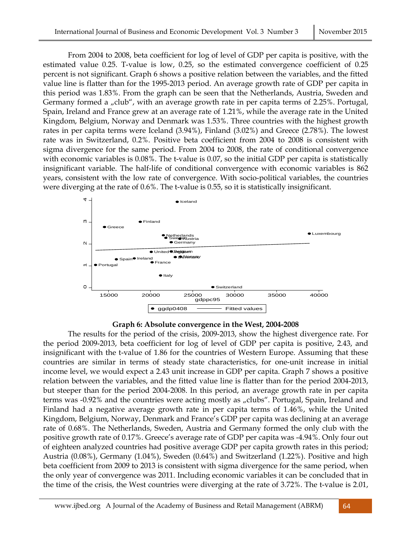From 2004 to 2008, beta coefficient for log of level of GDP per capita is positive, with the estimated value 0.25. T-value is low, 0.25, so the estimated convergence coefficient of 0.25 percent is not significant. Graph 6 shows a positive relation between the variables, and the fitted value line is flatter than for the 1995-2013 period. An average growth rate of GDP per capita in this period was 1.83%. From the graph can be seen that the Netherlands, Austria, Sweden and Germany formed a "club", with an average growth rate in per capita terms of 2.25%. Portugal, Spain, Ireland and France grew at an average rate of 1.21%, while the average rate in the United Kingdom, Belgium, Norway and Denmark was 1.53%. Three countries with the highest growth rates in per capita terms were Iceland (3.94%), Finland (3.02%) and Greece (2.78%). The lowest rate was in Switzerland, 0.2%. Positive beta coefficient from 2004 to 2008 is consistent with sigma divergence for the same period. From 2004 to 2008, the rate of conditional convergence with economic variables is 0.08%. The t-value is 0.07, so the initial GDP per capita is statistically insignificant variable. The half-life of conditional convergence with economic variables is 862 years, consistent with the low rate of convergence. With socio-political variables, the countries were diverging at the rate of 0.6%. The t-value is 0.55, so it is statistically insignificant.



## **Graph 6: Absolute convergence in the West, 2004-2008**

The results for the period of the crisis, 2009-2013, show the highest divergence rate. For the period 2009-2013, beta coefficient for log of level of GDP per capita is positive, 2.43, and insignificant with the t-value of 1.86 for the countries of Western Europe. Assuming that these countries are similar in terms of steady state characteristics, for one-unit increase in initial income level, we would expect a 2.43 unit increase in GDP per capita. Graph 7 shows a positive relation between the variables, and the fitted value line is flatter than for the period 2004-2013, but steeper than for the period 2004-2008. In this period, an average growth rate in per capita terms was -0.92% and the countries were acting mostly as "clubs". Portugal, Spain, Ireland and Finland had a negative average growth rate in per capita terms of 1.46%, while the United Kingdom, Belgium, Norway, Denmark and France's GDP per capita was declining at an average rate of 0.68%. The Netherlands, Sweden, Austria and Germany formed the only club with the positive growth rate of 0.17%. Greece's average rate of GDP per capita was -4.94%. Only four out of eighteen analyzed countries had positive average GDP per capita growth rates in this period; Austria (0.08%), Germany (1.04%), Sweden (0.64%) and Switzerland (1.22%). Positive and high beta coefficient from 2009 to 2013 is consistent with sigma divergence for the same period, when the only year of convergence was 2011. Including economic variables it can be concluded that in the time of the crisis, the West countries were diverging at the rate of 3.72%. The t-value is 2.01,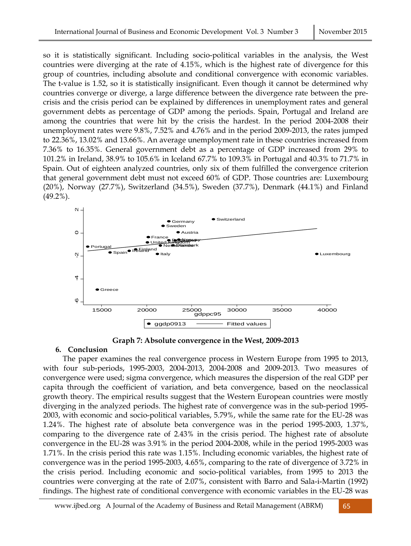so it is statistically significant. Including socio-political variables in the analysis, the West countries were diverging at the rate of 4.15%, which is the highest rate of divergence for this group of countries, including absolute and conditional convergence with economic variables. The t-value is 1.52, so it is statistically insignificant. Even though it cannot be determined why countries converge or diverge, a large difference between the divergence rate between the precrisis and the crisis period can be explained by differences in unemployment rates and general government debts as percentage of GDP among the periods. Spain, Portugal and Ireland are among the countries that were hit by the crisis the hardest. In the period 2004-2008 their unemployment rates were 9.8%, 7.52% and 4.76% and in the period 2009-2013, the rates jumped to 22.36%, 13.02% and 13.66%. An average unemployment rate in these countries increased from 7.36% to 16.35%. General government debt as a percentage of GDP increased from 29% to 101.2% in Ireland, 38.9% to 105.6% in Iceland 67.7% to 109.3% in Portugal and 40.3% to 71.7% in Spain. Out of eighteen analyzed countries, only six of them fulfilled the convergence criterion that general government debt must not exceed 60% of GDP. Those countries are: Luxembourg (20%), Norway (27.7%), Switzerland (34.5%), Sweden (37.7%), Denmark (44.1%) and Finland (49.2%).



**Graph 7: Absolute convergence in the West, 2009-2013** 

## **6. Conclusion**

The paper examines the real convergence process in Western Europe from 1995 to 2013, with four sub-periods, 1995-2003, 2004-2013, 2004-2008 and 2009-2013. Two measures of convergence were used; sigma convergence, which measures the dispersion of the real GDP per capita through the coefficient of variation, and beta convergence, based on the neoclassical growth theory. The empirical results suggest that the Western European countries were mostly diverging in the analyzed periods. The highest rate of convergence was in the sub-period 1995- 2003, with economic and socio-political variables, 5.79%, while the same rate for the EU-28 was 1.24%. The highest rate of absolute beta convergence was in the period 1995-2003, 1.37%, comparing to the divergence rate of 2.43% in the crisis period. The highest rate of absolute convergence in the EU-28 was 3.91% in the period 2004-2008, while in the period 1995-2003 was 1.71%. In the crisis period this rate was 1.15%. Including economic variables, the highest rate of convergence was in the period 1995-2003, 4.65%, comparing to the rate of divergence of 3.72% in the crisis period. Including economic and socio-political variables, from 1995 to 2013 the countries were converging at the rate of 2.07%, consistent with Barro and Sala-i-Martin (1992) findings. The highest rate of conditional convergence with economic variables in the EU-28 was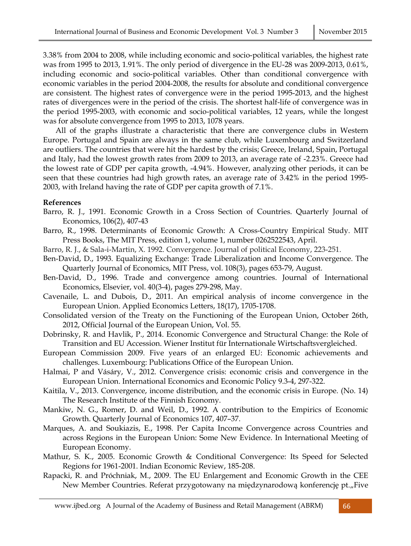3.38% from 2004 to 2008, while including economic and socio-political variables, the highest rate was from 1995 to 2013, 1.91%. The only period of divergence in the EU-28 was 2009-2013, 0.61%, including economic and socio-political variables. Other than conditional convergence with economic variables in the period 2004-2008, the results for absolute and conditional convergence are consistent. The highest rates of convergence were in the period 1995-2013, and the highest rates of divergences were in the period of the crisis. The shortest half-life of convergence was in the period 1995-2003, with economic and socio-political variables, 12 years, while the longest was for absolute convergence from 1995 to 2013, 1078 years.

All of the graphs illustrate a characteristic that there are convergence clubs in Western Europe. Portugal and Spain are always in the same club, while Luxembourg and Switzerland are outliers. The countries that were hit the hardest by the crisis; Greece, Ireland, Spain, Portugal and Italy, had the lowest growth rates from 2009 to 2013, an average rate of -2.23%. Greece had the lowest rate of GDP per capita growth, -4.94%. However, analyzing other periods, it can be seen that these countries had high growth rates, an average rate of 3.42% in the period 1995- 2003, with Ireland having the rate of GDP per capita growth of 7.1%.

## **References**

- Barro, R. J., 1991. Economic Growth in a Cross Section of Countries. Quarterly Journal of Economics, 106(2), 407-43
- Barro, R., 1998. Determinants of Economic Growth: A Cross-Country Empirical Study. MIT Press Books, The MIT Press, edition 1, volume 1, number 0262522543, April.
- Barro, R. J., & Sala-i-Martin, X. 1992. Convergence. Journal of political Economy, 223-251.
- Ben-David, D., 1993. Equalizing Exchange: Trade Liberalization and Income Convergence. The Quarterly Journal of Economics, MIT Press, vol. 108(3), pages 653-79, August.
- Ben-David, D., 1996. Trade and convergence among countries. Journal of International Economics, Elsevier, vol. 40(3-4), pages 279-298, May.
- Cavenaile, L. and Dubois, D., 2011. An empirical analysis of income convergence in the European Union. Applied Economics Letters, 18(17), 1705-1708.
- Consolidated version of the Treaty on the Functioning of the European Union, October 26th, 2012, Official Journal of the European Union, Vol. 55.
- Dobrinsky, R. and Havlik, P., 2014. Economic Convergence and Structural Change: the Role of Transition and EU Accession. Wiener Institut für Internationale Wirtschaftsvergleiched.
- European Commission 2009. Five years of an enlarged EU: Economic achievements and challenges. Luxembourg: Publications Office of the European Union.
- Halmai, P and Vásáry, V., 2012. Convergence crisis: economic crisis and convergence in the European Union. International Economics and Economic Policy 9.3-4, 297-322.
- Kaitila, V., 2013. Convergence, income distribution, and the economic crisis in Europe. (No. 14) The Research Institute of the Finnish Economy.
- Mankiw, N. G., Romer, D. and Weil, D., 1992. A contribution to the Empirics of Economic Growth. Quarterly Journal of Economics 107, 407–37.
- Marques, A. and Soukiazis, E., 1998. Per Capita Income Convergence across Countries and across Regions in the European Union: Some New Evidence. In International Meeting of European Economy.
- Mathur, S. K., 2005. Economic Growth & Conditional Convergence: Its Speed for Selected Regions for 1961-2001. Indian Economic Review, 185-208.
- Rapacki, R. and Próchniak, M., 2009. The EU Enlargement and Economic Growth in the CEE New Member Countries. Referat przygotowany na międzynarodową konferencję pt."Five